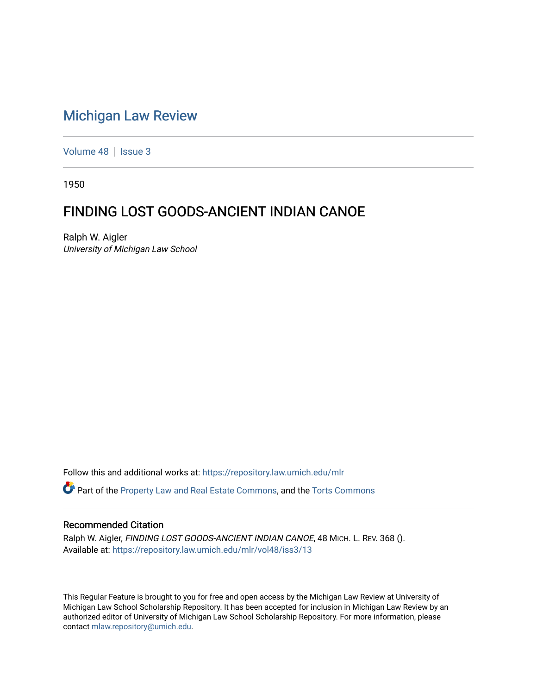## [Michigan Law Review](https://repository.law.umich.edu/mlr)

[Volume 48](https://repository.law.umich.edu/mlr/vol48) | [Issue 3](https://repository.law.umich.edu/mlr/vol48/iss3)

1950

## FINDING LOST GOODS-ANCIENT INDIAN CANOE

Ralph W. Aigler University of Michigan Law School

Follow this and additional works at: [https://repository.law.umich.edu/mlr](https://repository.law.umich.edu/mlr?utm_source=repository.law.umich.edu%2Fmlr%2Fvol48%2Fiss3%2F13&utm_medium=PDF&utm_campaign=PDFCoverPages) 

Part of the [Property Law and Real Estate Commons,](http://network.bepress.com/hgg/discipline/897?utm_source=repository.law.umich.edu%2Fmlr%2Fvol48%2Fiss3%2F13&utm_medium=PDF&utm_campaign=PDFCoverPages) and the [Torts Commons](http://network.bepress.com/hgg/discipline/913?utm_source=repository.law.umich.edu%2Fmlr%2Fvol48%2Fiss3%2F13&utm_medium=PDF&utm_campaign=PDFCoverPages) 

## Recommended Citation

Ralph W. Aigler, FINDING LOST GOODS-ANCIENT INDIAN CANOE, 48 MICH. L. REV. 368 (). Available at: [https://repository.law.umich.edu/mlr/vol48/iss3/13](https://repository.law.umich.edu/mlr/vol48/iss3/13?utm_source=repository.law.umich.edu%2Fmlr%2Fvol48%2Fiss3%2F13&utm_medium=PDF&utm_campaign=PDFCoverPages) 

This Regular Feature is brought to you for free and open access by the Michigan Law Review at University of Michigan Law School Scholarship Repository. It has been accepted for inclusion in Michigan Law Review by an authorized editor of University of Michigan Law School Scholarship Repository. For more information, please contact [mlaw.repository@umich.edu](mailto:mlaw.repository@umich.edu).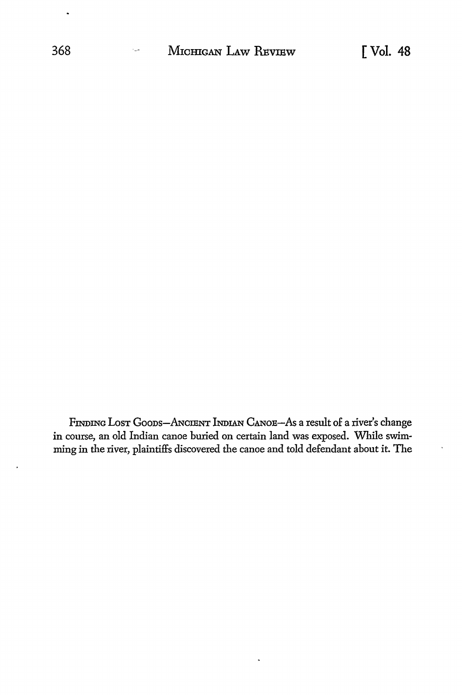FINDING LOST GOODS-ANCIENT INDIAN CANOE-As a result of a river's change in course, an old Indian canoe buried on certain land was exposed. While swimming in the river, plaintiffs discovered the canoe and told defendant about it. The